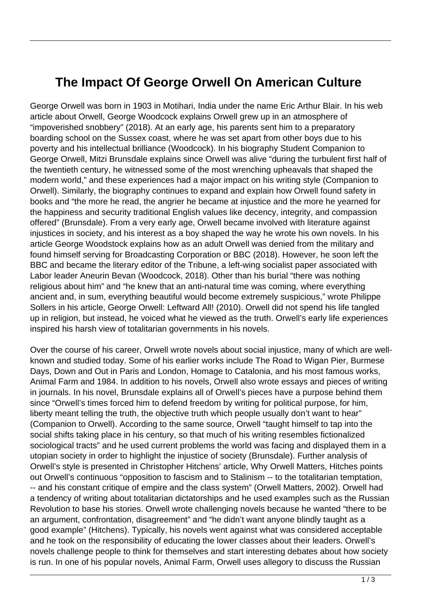## **The Impact Of George Orwell On American Culture**

George Orwell was born in 1903 in Motihari, India under the name Eric Arthur Blair. In his web article about Orwell, George Woodcock explains Orwell grew up in an atmosphere of "impoverished snobbery" (2018). At an early age, his parents sent him to a preparatory boarding school on the Sussex coast, where he was set apart from other boys due to his poverty and his intellectual brilliance (Woodcock). In his biography Student Companion to George Orwell, Mitzi Brunsdale explains since Orwell was alive "during the turbulent first half of the twentieth century, he witnessed some of the most wrenching upheavals that shaped the modern world," and these experiences had a major impact on his writing style (Companion to Orwell). Similarly, the biography continues to expand and explain how Orwell found safety in books and "the more he read, the angrier he became at injustice and the more he yearned for the happiness and security traditional English values like decency, integrity, and compassion offered" (Brunsdale). From a very early age, Orwell became involved with literature against injustices in society, and his interest as a boy shaped the way he wrote his own novels. In his article George Woodstock explains how as an adult Orwell was denied from the military and found himself serving for Broadcasting Corporation or BBC (2018). However, he soon left the BBC and became the literary editor of the Tribune, a left-wing socialist paper associated with Labor leader Aneurin Bevan (Woodcock, 2018). Other than his burial "there was nothing religious about him" and "he knew that an anti-natural time was coming, where everything ancient and, in sum, everything beautiful would become extremely suspicious," wrote Philippe Sollers in his article, George Orwell: Leftward All! (2010). Orwell did not spend his life tangled up in religion, but instead, he voiced what he viewed as the truth. Orwell's early life experiences inspired his harsh view of totalitarian governments in his novels.

Over the course of his career, Orwell wrote novels about social injustice, many of which are wellknown and studied today. Some of his earlier works include The Road to Wigan Pier, Burmese Days, Down and Out in Paris and London, Homage to Catalonia, and his most famous works, Animal Farm and 1984. In addition to his novels, Orwell also wrote essays and pieces of writing in journals. In his novel, Brunsdale explains all of Orwell's pieces have a purpose behind them since "Orwell's times forced him to defend freedom by writing for political purpose, for him, liberty meant telling the truth, the objective truth which people usually don't want to hear" (Companion to Orwell). According to the same source, Orwell "taught himself to tap into the social shifts taking place in his century, so that much of his writing resembles fictionalized sociological tracts" and he used current problems the world was facing and displayed them in a utopian society in order to highlight the injustice of society (Brunsdale). Further analysis of Orwell's style is presented in Christopher Hitchens' article, Why Orwell Matters, Hitches points out Orwell's continuous "opposition to fascism and to Stalinism -- to the totalitarian temptation, -- and his constant critique of empire and the class system" (Orwell Matters, 2002). Orwell had a tendency of writing about totalitarian dictatorships and he used examples such as the Russian Revolution to base his stories. Orwell wrote challenging novels because he wanted "there to be an argument, confrontation, disagreement" and "he didn't want anyone blindly taught as a good example" (Hitchens). Typically, his novels went against what was considered acceptable and he took on the responsibility of educating the lower classes about their leaders. Orwell's novels challenge people to think for themselves and start interesting debates about how society is run. In one of his popular novels, Animal Farm, Orwell uses allegory to discuss the Russian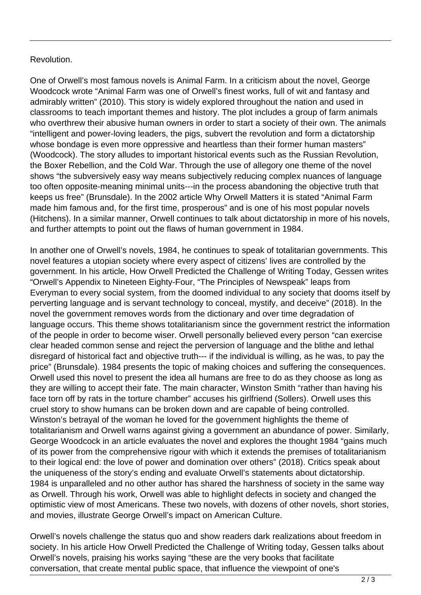## Revolution.

One of Orwell's most famous novels is Animal Farm. In a criticism about the novel, George Woodcock wrote "Animal Farm was one of Orwell's finest works, full of wit and fantasy and admirably written" (2010). This story is widely explored throughout the nation and used in classrooms to teach important themes and history. The plot includes a group of farm animals who overthrew their abusive human owners in order to start a society of their own. The animals "intelligent and power-loving leaders, the pigs, subvert the revolution and form a dictatorship whose bondage is even more oppressive and heartless than their former human masters" (Woodcock). The story alludes to important historical events such as the Russian Revolution, the Boxer Rebellion, and the Cold War. Through the use of allegory one theme of the novel shows "the subversively easy way means subjectively reducing complex nuances of language too often opposite-meaning minimal units---in the process abandoning the objective truth that keeps us free" (Brunsdale). In the 2002 article Why Orwell Matters it is stated "Animal Farm made him famous and, for the first time, prosperous" and is one of his most popular novels (Hitchens). In a similar manner, Orwell continues to talk about dictatorship in more of his novels, and further attempts to point out the flaws of human government in 1984.

In another one of Orwell's novels, 1984, he continues to speak of totalitarian governments. This novel features a utopian society where every aspect of citizens' lives are controlled by the government. In his article, How Orwell Predicted the Challenge of Writing Today, Gessen writes "Orwell's Appendix to Nineteen Eighty-Four, "The Principles of Newspeak" leaps from Everyman to every social system, from the doomed individual to any society that dooms itself by perverting language and is servant technology to conceal, mystify, and deceive" (2018). In the novel the government removes words from the dictionary and over time degradation of language occurs. This theme shows totalitarianism since the government restrict the information of the people in order to become wiser. Orwell personally believed every person "can exercise clear headed common sense and reject the perversion of language and the blithe and lethal disregard of historical fact and objective truth--- if the individual is willing, as he was, to pay the price" (Brunsdale). 1984 presents the topic of making choices and suffering the consequences. Orwell used this novel to present the idea all humans are free to do as they choose as long as they are willing to accept their fate. The main character, Winston Smith "rather than having his face torn off by rats in the torture chamber" accuses his girlfriend (Sollers). Orwell uses this cruel story to show humans can be broken down and are capable of being controlled. Winston's betrayal of the woman he loved for the government highlights the theme of totalitarianism and Orwell warns against giving a government an abundance of power. Similarly, George Woodcock in an article evaluates the novel and explores the thought 1984 "gains much of its power from the comprehensive rigour with which it extends the premises of totalitarianism to their logical end: the love of power and domination over others" (2018). Critics speak about the uniqueness of the story's ending and evaluate Orwell's statements about dictatorship. 1984 is unparalleled and no other author has shared the harshness of society in the same way as Orwell. Through his work, Orwell was able to highlight defects in society and changed the optimistic view of most Americans. These two novels, with dozens of other novels, short stories, and movies, illustrate George Orwell's impact on American Culture.

Orwell's novels challenge the status quo and show readers dark realizations about freedom in society. In his article How Orwell Predicted the Challenge of Writing today, Gessen talks about Orwell's novels, praising his works saying "these are the very books that facilitate conversation, that create mental public space, that influence the viewpoint of one's